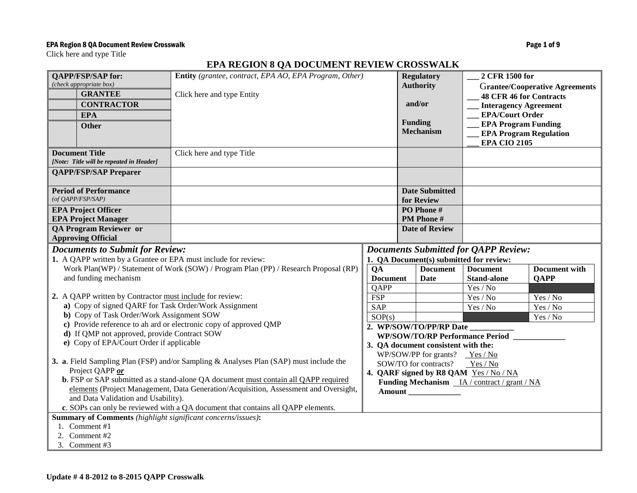### EPA Region 8 QA Document Review Crosswalk **Page 1 of 9** and 2008 and 2008 and 2008 and 2008 and 2008 and 2008 and 2008 and 2008 and 2008 and 2008 and 2008 and 2008 and 2008 and 2008 and 2008 and 2008 and 2008 and 2008 and

Click here and type Title

# **EPA REGION 8 QA DOCUMENT REVIEW CROSSWALK**

| <b>QAPP/FSP/SAP for:</b><br>Entity (grantee, contract, EPA AO, EPA Program, Other)<br>(check appropriate box)           |                                                                     |                                                                                                         | <b>Regulatory</b><br>2 CFR 1500 for                               |                                             |                                |                                       |
|-------------------------------------------------------------------------------------------------------------------------|---------------------------------------------------------------------|---------------------------------------------------------------------------------------------------------|-------------------------------------------------------------------|---------------------------------------------|--------------------------------|---------------------------------------|
|                                                                                                                         | <b>GRANTEE</b>                                                      | Click here and type Entity                                                                              |                                                                   | <b>Authority</b>                            |                                | <b>Grantee/Cooperative Agreements</b> |
|                                                                                                                         | <b>CONTRACTOR</b>                                                   |                                                                                                         | and/or                                                            |                                             | <b>48 CFR 46 for Contracts</b> |                                       |
|                                                                                                                         |                                                                     |                                                                                                         |                                                                   |                                             | <b>EPA/Court Order</b>         | <b>Interagency Agreement</b>          |
|                                                                                                                         | <b>EPA</b>                                                          |                                                                                                         |                                                                   | <b>Funding</b>                              |                                | <b>EPA Program Funding</b>            |
|                                                                                                                         | <b>Other</b>                                                        |                                                                                                         |                                                                   | <b>Mechanism</b>                            |                                | <b>EPA Program Regulation</b>         |
|                                                                                                                         |                                                                     |                                                                                                         |                                                                   |                                             | <b>EPA CIO 2105</b>            |                                       |
|                                                                                                                         | <b>Document Title</b>                                               | Click here and type Title                                                                               |                                                                   |                                             |                                |                                       |
|                                                                                                                         | [Note: Title will be repeated in Header]                            |                                                                                                         |                                                                   |                                             |                                |                                       |
|                                                                                                                         | <b>QAPP/FSP/SAP Preparer</b>                                        |                                                                                                         |                                                                   |                                             |                                |                                       |
|                                                                                                                         | <b>Period of Performance</b>                                        |                                                                                                         |                                                                   | <b>Date Submitted</b>                       |                                |                                       |
|                                                                                                                         | $($ of QAPP/FSP/SAP $)$                                             |                                                                                                         |                                                                   | for Review                                  |                                |                                       |
|                                                                                                                         | <b>EPA Project Officer</b>                                          |                                                                                                         |                                                                   | PO Phone #                                  |                                |                                       |
|                                                                                                                         | <b>EPA Project Manager</b>                                          |                                                                                                         |                                                                   | PM Phone #                                  |                                |                                       |
|                                                                                                                         | <b>QA Program Reviewer or</b>                                       |                                                                                                         |                                                                   | <b>Date of Review</b>                       |                                |                                       |
|                                                                                                                         | <b>Approving Official</b>                                           |                                                                                                         |                                                                   |                                             |                                |                                       |
| <b>Documents to Submit for Review:</b>                                                                                  |                                                                     |                                                                                                         |                                                                   | <b>Documents Submitted for QAPP Review:</b> |                                |                                       |
| 1. A QAPP written by a Grantee or EPA must include for review:                                                          |                                                                     |                                                                                                         |                                                                   | 1. QA Document(s) submitted for review:     |                                |                                       |
|                                                                                                                         |                                                                     | Work Plan(WP) / Statement of Work (SOW) / Program Plan (PP) / Research Proposal (RP)<br>$\overline{OA}$ |                                                                   | <b>Document</b>                             | <b>Document</b>                | <b>Document with</b>                  |
| and funding mechanism                                                                                                   |                                                                     |                                                                                                         | <b>Document</b>                                                   | <b>Date</b>                                 | <b>Stand-alone</b>             | <b>QAPP</b>                           |
| 2. A QAPP written by Contractor must include for review:                                                                |                                                                     |                                                                                                         | <b>QAPP</b><br><b>FSP</b>                                         |                                             | Yes / No<br>Yes / No           |                                       |
|                                                                                                                         | a) Copy of signed QARF for Task Order/Work Assignment               |                                                                                                         | <b>SAP</b>                                                        |                                             | Yes / No                       | Yes / No<br>Yes / No                  |
| b) Copy of Task Order/Work Assignment SOW                                                                               |                                                                     |                                                                                                         | SOP(s)                                                            |                                             |                                | Yes / No                              |
|                                                                                                                         |                                                                     | c) Provide reference to ah ard or electronic copy of approved QMP                                       |                                                                   |                                             |                                |                                       |
|                                                                                                                         | d) If QMP not approved, provide Contract SOW                        |                                                                                                         | 2. WP/SOW/TO/PP/RP Date<br><b>WP/SOW/TO/RP Performance Period</b> |                                             |                                |                                       |
| e) Copy of EPA/Court Order if applicable                                                                                |                                                                     | 3. QA document consistent with the:                                                                     |                                                                   |                                             |                                |                                       |
|                                                                                                                         |                                                                     | WP/SOW/PP for grants? $Yes / No$                                                                        |                                                                   |                                             |                                |                                       |
| 3. a. Field Sampling Plan (FSP) and/or Sampling & Analyses Plan (SAP) must include the                                  |                                                                     |                                                                                                         |                                                                   | SOW/TO for contracts?                       | Yes / No                       |                                       |
| Project QAPP or                                                                                                         |                                                                     | 4. QARF signed by R8 QAM Yes / No / NA                                                                  |                                                                   |                                             |                                |                                       |
| b. FSP or SAP submitted as a stand-alone QA document must contain all QAPP required                                     |                                                                     | Funding Mechanism __ IA / contract / grant / NA                                                         |                                                                   |                                             |                                |                                       |
| elements (Project Management, Data Generation/Acquisition, Assessment and Oversight,                                    |                                                                     |                                                                                                         | <b>Amount</b>                                                     |                                             |                                |                                       |
| and Data Validation and Usability).<br>c. SOPs can only be reviewed with a QA document that contains all QAPP elements. |                                                                     |                                                                                                         |                                                                   |                                             |                                |                                       |
|                                                                                                                         | <b>Summary of Comments</b> (highlight significant concerns/issues): |                                                                                                         |                                                                   |                                             |                                |                                       |
| 1. Comment #1                                                                                                           |                                                                     |                                                                                                         |                                                                   |                                             |                                |                                       |
|                                                                                                                         | 2. Comment #2                                                       |                                                                                                         |                                                                   |                                             |                                |                                       |
|                                                                                                                         | 3. Comment #3                                                       |                                                                                                         |                                                                   |                                             |                                |                                       |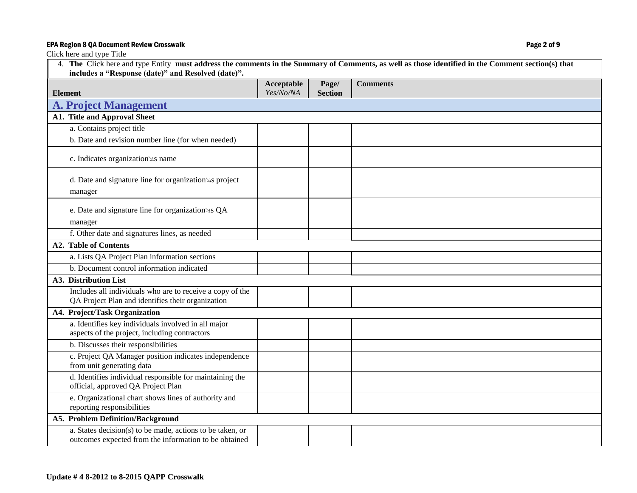## EPA Region 8 QA Document Review Crosswalk **Page 2 of 9**

| 4. The Click here and type Entity must address the comments in the Summary of Comments, as well as those identified in the Comment section(s) that<br>includes a "Response (date)" and Resolved (date)". |                         |                         |                 |  |
|----------------------------------------------------------------------------------------------------------------------------------------------------------------------------------------------------------|-------------------------|-------------------------|-----------------|--|
| <b>Element</b>                                                                                                                                                                                           | Acceptable<br>Yes/No/NA | Page/<br><b>Section</b> | <b>Comments</b> |  |
| <b>A. Project Management</b>                                                                                                                                                                             |                         |                         |                 |  |
| <b>A1. Title and Approval Sheet</b>                                                                                                                                                                      |                         |                         |                 |  |
| a. Contains project title                                                                                                                                                                                |                         |                         |                 |  |
| b. Date and revision number line (for when needed)                                                                                                                                                       |                         |                         |                 |  |
| c. Indicates organization s name                                                                                                                                                                         |                         |                         |                 |  |
| d. Date and signature line for organization s project<br>manager                                                                                                                                         |                         |                         |                 |  |
| e. Date and signature line for organization s QA<br>manager                                                                                                                                              |                         |                         |                 |  |
| f. Other date and signatures lines, as needed                                                                                                                                                            |                         |                         |                 |  |
| <b>A2. Table of Contents</b>                                                                                                                                                                             |                         |                         |                 |  |
| a. Lists QA Project Plan information sections                                                                                                                                                            |                         |                         |                 |  |
| b. Document control information indicated                                                                                                                                                                |                         |                         |                 |  |
| A3. Distribution List                                                                                                                                                                                    |                         |                         |                 |  |
| Includes all individuals who are to receive a copy of the<br>QA Project Plan and identifies their organization                                                                                           |                         |                         |                 |  |
| A4. Project/Task Organization                                                                                                                                                                            |                         |                         |                 |  |
| a. Identifies key individuals involved in all major<br>aspects of the project, including contractors                                                                                                     |                         |                         |                 |  |
| b. Discusses their responsibilities                                                                                                                                                                      |                         |                         |                 |  |
| c. Project QA Manager position indicates independence<br>from unit generating data                                                                                                                       |                         |                         |                 |  |
| d. Identifies individual responsible for maintaining the<br>official, approved QA Project Plan                                                                                                           |                         |                         |                 |  |
| e. Organizational chart shows lines of authority and<br>reporting responsibilities                                                                                                                       |                         |                         |                 |  |
| <b>A5. Problem Definition/Background</b>                                                                                                                                                                 |                         |                         |                 |  |
| a. States decision(s) to be made, actions to be taken, or<br>outcomes expected from the information to be obtained                                                                                       |                         |                         |                 |  |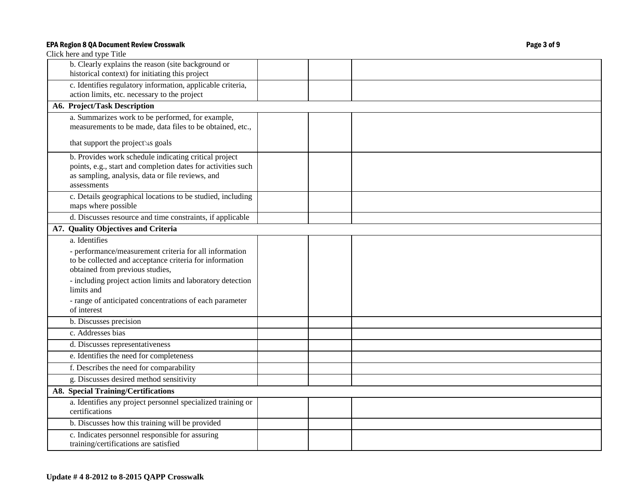| Click here and type Title                                                                                                                                                                                                                                                                                    |  |
|--------------------------------------------------------------------------------------------------------------------------------------------------------------------------------------------------------------------------------------------------------------------------------------------------------------|--|
| b. Clearly explains the reason (site background or<br>historical context) for initiating this project                                                                                                                                                                                                        |  |
| c. Identifies regulatory information, applicable criteria,<br>action limits, etc. necessary to the project                                                                                                                                                                                                   |  |
| A6. Project/Task Description                                                                                                                                                                                                                                                                                 |  |
| a. Summarizes work to be performed, for example,<br>measurements to be made, data files to be obtained, etc.,                                                                                                                                                                                                |  |
| that support the project s goals                                                                                                                                                                                                                                                                             |  |
| b. Provides work schedule indicating critical project<br>points, e.g., start and completion dates for activities such<br>as sampling, analysis, data or file reviews, and<br>assessments                                                                                                                     |  |
| c. Details geographical locations to be studied, including<br>maps where possible                                                                                                                                                                                                                            |  |
| d. Discusses resource and time constraints, if applicable                                                                                                                                                                                                                                                    |  |
| A7. Quality Objectives and Criteria                                                                                                                                                                                                                                                                          |  |
| a. Identifies<br>- performance/measurement criteria for all information<br>to be collected and acceptance criteria for information<br>obtained from previous studies,<br>- including project action limits and laboratory detection<br>limits and<br>- range of anticipated concentrations of each parameter |  |
| of interest                                                                                                                                                                                                                                                                                                  |  |
| b. Discusses precision                                                                                                                                                                                                                                                                                       |  |
| c. Addresses bias                                                                                                                                                                                                                                                                                            |  |
| d. Discusses representativeness                                                                                                                                                                                                                                                                              |  |
| e. Identifies the need for completeness                                                                                                                                                                                                                                                                      |  |
| f. Describes the need for comparability                                                                                                                                                                                                                                                                      |  |
| g. Discusses desired method sensitivity                                                                                                                                                                                                                                                                      |  |
| <b>A8. Special Training/Certifications</b>                                                                                                                                                                                                                                                                   |  |
| a. Identifies any project personnel specialized training or<br>certifications                                                                                                                                                                                                                                |  |
| b. Discusses how this training will be provided                                                                                                                                                                                                                                                              |  |
| c. Indicates personnel responsible for assuring<br>training/certifications are satisfied                                                                                                                                                                                                                     |  |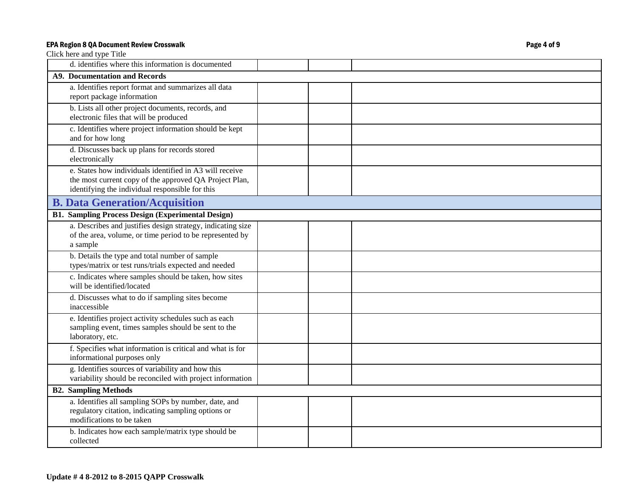| d. identifies where this information is documented                                                                                                                   |  |  |
|----------------------------------------------------------------------------------------------------------------------------------------------------------------------|--|--|
| <b>A9. Documentation and Records</b>                                                                                                                                 |  |  |
| a. Identifies report format and summarizes all data<br>report package information                                                                                    |  |  |
| b. Lists all other project documents, records, and<br>electronic files that will be produced                                                                         |  |  |
| c. Identifies where project information should be kept<br>and for how long                                                                                           |  |  |
| d. Discusses back up plans for records stored<br>electronically                                                                                                      |  |  |
| e. States how individuals identified in A3 will receive<br>the most current copy of the approved QA Project Plan,<br>identifying the individual responsible for this |  |  |
| <b>B. Data Generation/Acquisition</b>                                                                                                                                |  |  |
| <b>B1. Sampling Process Design (Experimental Design)</b>                                                                                                             |  |  |
| a. Describes and justifies design strategy, indicating size<br>of the area, volume, or time period to be represented by<br>a sample                                  |  |  |
| b. Details the type and total number of sample<br>types/matrix or test runs/trials expected and needed                                                               |  |  |
| c. Indicates where samples should be taken, how sites<br>will be identified/located                                                                                  |  |  |
| d. Discusses what to do if sampling sites become<br>inaccessible                                                                                                     |  |  |
| e. Identifies project activity schedules such as each<br>sampling event, times samples should be sent to the<br>laboratory, etc.                                     |  |  |
| f. Specifies what information is critical and what is for<br>informational purposes only                                                                             |  |  |
| g. Identifies sources of variability and how this<br>variability should be reconciled with project information                                                       |  |  |
| <b>B2. Sampling Methods</b>                                                                                                                                          |  |  |
| a. Identifies all sampling SOPs by number, date, and<br>regulatory citation, indicating sampling options or<br>modifications to be taken                             |  |  |
| b. Indicates how each sample/matrix type should be<br>collected                                                                                                      |  |  |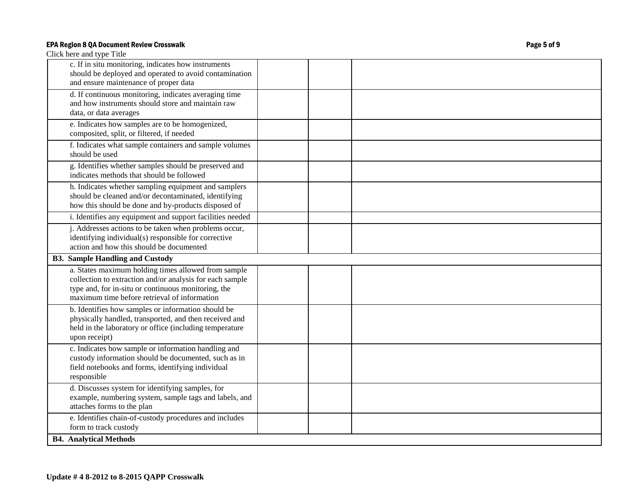| Click here and type Title                                                                                                                                                                                              |  |
|------------------------------------------------------------------------------------------------------------------------------------------------------------------------------------------------------------------------|--|
| c. If in situ monitoring, indicates how instruments<br>should be deployed and operated to avoid contamination<br>and ensure maintenance of proper data                                                                 |  |
| d. If continuous monitoring, indicates averaging time<br>and how instruments should store and maintain raw<br>data, or data averages                                                                                   |  |
| e. Indicates how samples are to be homogenized,<br>composited, split, or filtered, if needed                                                                                                                           |  |
| f. Indicates what sample containers and sample volumes<br>should be used                                                                                                                                               |  |
| g. Identifies whether samples should be preserved and<br>indicates methods that should be followed                                                                                                                     |  |
| h. Indicates whether sampling equipment and samplers<br>should be cleaned and/or decontaminated, identifying<br>how this should be done and by-products disposed of                                                    |  |
| i. Identifies any equipment and support facilities needed                                                                                                                                                              |  |
| j. Addresses actions to be taken when problems occur,<br>identifying individual(s) responsible for corrective<br>action and how this should be documented                                                              |  |
| <b>B3. Sample Handling and Custody</b>                                                                                                                                                                                 |  |
| a. States maximum holding times allowed from sample<br>collection to extraction and/or analysis for each sample<br>type and, for in-situ or continuous monitoring, the<br>maximum time before retrieval of information |  |
| b. Identifies how samples or information should be<br>physically handled, transported, and then received and<br>held in the laboratory or office (including temperature<br>upon receipt)                               |  |
| c. Indicates how sample or information handling and<br>custody information should be documented, such as in<br>field notebooks and forms, identifying individual<br>responsible                                        |  |
| d. Discusses system for identifying samples, for<br>example, numbering system, sample tags and labels, and<br>attaches forms to the plan                                                                               |  |
| e. Identifies chain-of-custody procedures and includes<br>form to track custody                                                                                                                                        |  |
| <b>B4. Analytical Methods</b>                                                                                                                                                                                          |  |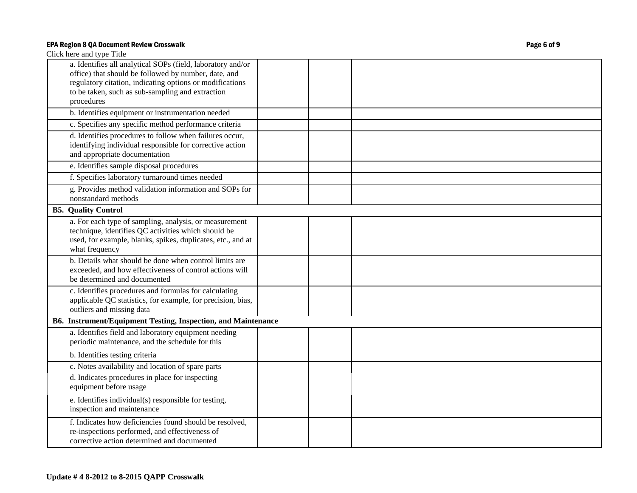| a. Identifies all analytical SOPs (field, laboratory and/or<br>office) that should be followed by number, date, and<br>regulatory citation, indicating options or modifications<br>to be taken, such as sub-sampling and extraction<br>procedures |  |
|---------------------------------------------------------------------------------------------------------------------------------------------------------------------------------------------------------------------------------------------------|--|
| b. Identifies equipment or instrumentation needed                                                                                                                                                                                                 |  |
| c. Specifies any specific method performance criteria                                                                                                                                                                                             |  |
| d. Identifies procedures to follow when failures occur,<br>identifying individual responsible for corrective action<br>and appropriate documentation                                                                                              |  |
| e. Identifies sample disposal procedures                                                                                                                                                                                                          |  |
| f. Specifies laboratory turnaround times needed                                                                                                                                                                                                   |  |
| g. Provides method validation information and SOPs for<br>nonstandard methods                                                                                                                                                                     |  |
| <b>B5. Quality Control</b>                                                                                                                                                                                                                        |  |
| a. For each type of sampling, analysis, or measurement<br>technique, identifies QC activities which should be<br>used, for example, blanks, spikes, duplicates, etc., and at<br>what frequency                                                    |  |
| b. Details what should be done when control limits are<br>exceeded, and how effectiveness of control actions will<br>be determined and documented                                                                                                 |  |
| c. Identifies procedures and formulas for calculating<br>applicable QC statistics, for example, for precision, bias,<br>outliers and missing data                                                                                                 |  |
| B6. Instrument/Equipment Testing, Inspection, and Maintenance                                                                                                                                                                                     |  |
| a. Identifies field and laboratory equipment needing<br>periodic maintenance, and the schedule for this                                                                                                                                           |  |
| b. Identifies testing criteria                                                                                                                                                                                                                    |  |
| c. Notes availability and location of spare parts                                                                                                                                                                                                 |  |
| d. Indicates procedures in place for inspecting<br>equipment before usage                                                                                                                                                                         |  |
| e. Identifies individual(s) responsible for testing,<br>inspection and maintenance                                                                                                                                                                |  |
| f. Indicates how deficiencies found should be resolved,<br>re-inspections performed, and effectiveness of<br>corrective action determined and documented                                                                                          |  |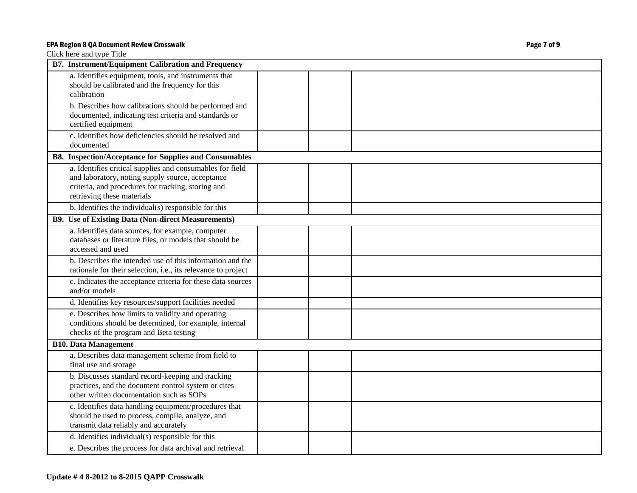| <b>B7.</b> Instrument/Equipment Calibration and Frequency                                                                                                                                         |  |
|---------------------------------------------------------------------------------------------------------------------------------------------------------------------------------------------------|--|
| a. Identifies equipment, tools, and instruments that<br>should be calibrated and the frequency for this<br>calibration                                                                            |  |
| b. Describes how calibrations should be performed and<br>documented, indicating test criteria and standards or<br>certified equipment                                                             |  |
| c. Identifies how deficiencies should be resolved and<br>documented                                                                                                                               |  |
| <b>B8.</b> Inspection/Acceptance for Supplies and Consumables                                                                                                                                     |  |
| a. Identifies critical supplies and consumables for field<br>and laboratory, noting supply source, acceptance<br>criteria, and procedures for tracking, storing and<br>retrieving these materials |  |
| b. Identifies the individual(s) responsible for this                                                                                                                                              |  |
| <b>B9.</b> Use of Existing Data (Non-direct Measurements)                                                                                                                                         |  |
| a. Identifies data sources, for example, computer<br>databases or literature files, or models that should be<br>accessed and used                                                                 |  |
| b. Describes the intended use of this information and the<br>rationale for their selection, i.e., its relevance to project                                                                        |  |
| c. Indicates the acceptance criteria for these data sources<br>and/or models                                                                                                                      |  |
| d. Identifies key resources/support facilities needed                                                                                                                                             |  |
| e. Describes how limits to validity and operating<br>conditions should be determined, for example, internal<br>checks of the program and Beta testing                                             |  |
| <b>B10. Data Management</b>                                                                                                                                                                       |  |
| a. Describes data management scheme from field to<br>final use and storage                                                                                                                        |  |
| b. Discusses standard record-keeping and tracking<br>practices, and the document control system or cites<br>other written documentation such as SOPs                                              |  |
| c. Identifies data handling equipment/procedures that<br>should be used to process, compile, analyze, and<br>transmit data reliably and accurately                                                |  |
| d. Identifies individual(s) responsible for this                                                                                                                                                  |  |
| e. Describes the process for data archival and retrieval                                                                                                                                          |  |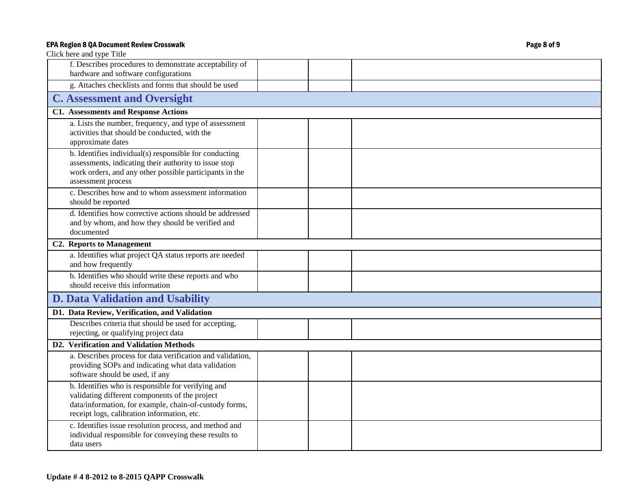| Click here and type Title                                                                                                                                                                                     |  |  |
|---------------------------------------------------------------------------------------------------------------------------------------------------------------------------------------------------------------|--|--|
| f. Describes procedures to demonstrate acceptability of<br>hardware and software configurations                                                                                                               |  |  |
| g. Attaches checklists and forms that should be used                                                                                                                                                          |  |  |
| <b>C. Assessment and Oversight</b>                                                                                                                                                                            |  |  |
| <b>C1. Assessments and Response Actions</b>                                                                                                                                                                   |  |  |
| a. Lists the number, frequency, and type of assessment<br>activities that should be conducted, with the<br>approximate dates                                                                                  |  |  |
| b. Identifies individual(s) responsible for conducting<br>assessments, indicating their authority to issue stop<br>work orders, and any other possible participants in the<br>assessment process              |  |  |
| c. Describes how and to whom assessment information<br>should be reported                                                                                                                                     |  |  |
| d. Identifies how corrective actions should be addressed<br>and by whom, and how they should be verified and<br>documented                                                                                    |  |  |
| <b>C2. Reports to Management</b>                                                                                                                                                                              |  |  |
| a. Identifies what project QA status reports are needed<br>and how frequently                                                                                                                                 |  |  |
| b. Identifies who should write these reports and who<br>should receive this information                                                                                                                       |  |  |
| <b>D. Data Validation and Usability</b>                                                                                                                                                                       |  |  |
| D1. Data Review, Verification, and Validation                                                                                                                                                                 |  |  |
| Describes criteria that should be used for accepting,<br>rejecting, or qualifying project data                                                                                                                |  |  |
| D2. Verification and Validation Methods                                                                                                                                                                       |  |  |
| a. Describes process for data verification and validation,<br>providing SOPs and indicating what data validation<br>software should be used, if any                                                           |  |  |
| b. Identifies who is responsible for verifying and<br>validating different components of the project<br>data/information, for example, chain-of-custody forms,<br>receipt logs, calibration information, etc. |  |  |
| c. Identifies issue resolution process, and method and<br>individual responsible for conveying these results to<br>data users                                                                                 |  |  |